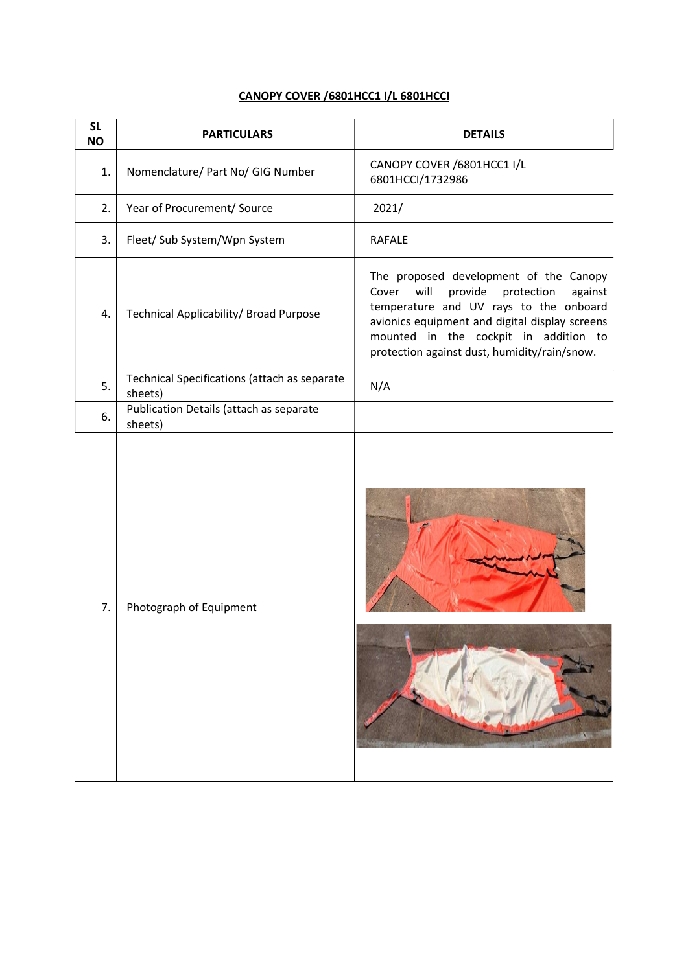## CANOPY COVER /6801HCC1 I/L 6801HCCI

| <b>NO</b> | <b>PARTICULARS</b>                                      | <b>DETAILS</b>                                                                                                                                                                                                                                                                   |
|-----------|---------------------------------------------------------|----------------------------------------------------------------------------------------------------------------------------------------------------------------------------------------------------------------------------------------------------------------------------------|
| 1.        | Nomenclature/ Part No/ GIG Number                       | CANOPY COVER /6801HCC1 I/L<br>6801HCCI/1732986                                                                                                                                                                                                                                   |
| 2.        | Year of Procurement/ Source                             | 2021/                                                                                                                                                                                                                                                                            |
| 3.        | Fleet/ Sub System/Wpn System                            | <b>RAFALE</b>                                                                                                                                                                                                                                                                    |
| 4.        | Technical Applicability/ Broad Purpose                  | The proposed development of the Canopy<br>Cover<br>will<br>provide<br>protection<br>against<br>temperature and UV rays to the onboard<br>avionics equipment and digital display screens<br>mounted in the cockpit in addition to<br>protection against dust, humidity/rain/snow. |
| 5.        | Technical Specifications (attach as separate<br>sheets) | N/A                                                                                                                                                                                                                                                                              |
| 6.        | Publication Details (attach as separate<br>sheets)      |                                                                                                                                                                                                                                                                                  |
| 7.        | Photograph of Equipment                                 |                                                                                                                                                                                                                                                                                  |